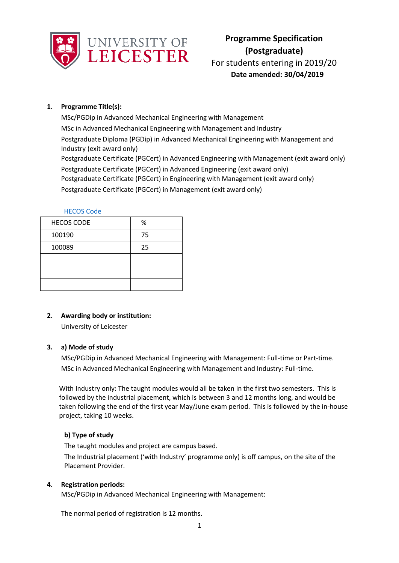

For students entering in 2019/20 **Date amended: 30/04/2019**

## **1. Programme Title(s):**

MSc/PGDip in Advanced Mechanical Engineering with Management MSc in Advanced Mechanical Engineering with Management and Industry Postgraduate Diploma (PGDip) in Advanced Mechanical Engineering with Management and Industry (exit award only) Postgraduate Certificate (PGCert) in Advanced Engineering with Management (exit award only) Postgraduate Certificate (PGCert) in Advanced Engineering (exit award only) Postgraduate Certificate (PGCert) in Engineering with Management (exit award only) Postgraduate Certificate (PGCert) in Management (exit award only)

|--|

| <b>HECOS CODE</b> | %  |
|-------------------|----|
| 100190            | 75 |
| 100089            | 25 |
|                   |    |
|                   |    |
|                   |    |

# **2. Awarding body or institution:**

University of Leicester

## **3. a) Mode of study**

MSc/PGDip in Advanced Mechanical Engineering with Management: Full-time or Part-time. MSc in Advanced Mechanical Engineering with Management and Industry: Full-time.

With Industry only: The taught modules would all be taken in the first two semesters. This is followed by the industrial placement, which is between 3 and 12 months long, and would be taken following the end of the first year May/June exam period. This is followed by the in-house project, taking 10 weeks.

# **b) Type of study**

The taught modules and project are campus based.

The Industrial placement ('with Industry' programme only) is off campus, on the site of the Placement Provider.

# **4. Registration periods:**

MSc/PGDip in Advanced Mechanical Engineering with Management:

The normal period of registration is 12 months.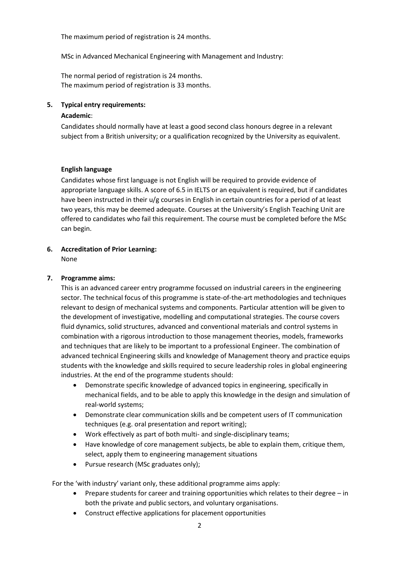The maximum period of registration is 24 months.

MSc in Advanced Mechanical Engineering with Management and Industry:

The normal period of registration is 24 months. The maximum period of registration is 33 months.

### **5. Typical entry requirements:**

#### **Academic**:

Candidates should normally have at least a good second class honours degree in a relevant subject from a British university; or a qualification recognized by the University as equivalent.

#### **English language**

Candidates whose first language is not English will be required to provide evidence of appropriate language skills. A score of 6.5 in IELTS or an equivalent is required, but if candidates have been instructed in their u/g courses in English in certain countries for a period of at least two years, this may be deemed adequate. Courses at the University's English Teaching Unit are offered to candidates who fail this requirement. The course must be completed before the MSc can begin.

## **6. Accreditation of Prior Learning:**

None

### **7. Programme aims:**

This is an advanced career entry programme focussed on industrial careers in the engineering sector. The technical focus of this programme is state-of-the-art methodologies and techniques relevant to design of mechanical systems and components. Particular attention will be given to the development of investigative, modelling and computational strategies. The course covers fluid dynamics, solid structures, advanced and conventional materials and control systems in combination with a rigorous introduction to those management theories, models, frameworks and techniques that are likely to be important to a professional Engineer. The combination of advanced technical Engineering skills and knowledge of Management theory and practice equips students with the knowledge and skills required to secure leadership roles in global engineering industries. At the end of the programme students should:

- Demonstrate specific knowledge of advanced topics in engineering, specifically in mechanical fields, and to be able to apply this knowledge in the design and simulation of real-world systems;
- Demonstrate clear communication skills and be competent users of IT communication techniques (e.g. oral presentation and report writing);
- Work effectively as part of both multi- and single-disciplinary teams;
- Have knowledge of core management subjects, be able to explain them, critique them, select, apply them to engineering management situations
- Pursue research (MSc graduates only);

For the 'with industry' variant only, these additional programme aims apply:

- Prepare students for career and training opportunities which relates to their degree in both the private and public sectors, and voluntary organisations.
- Construct effective applications for placement opportunities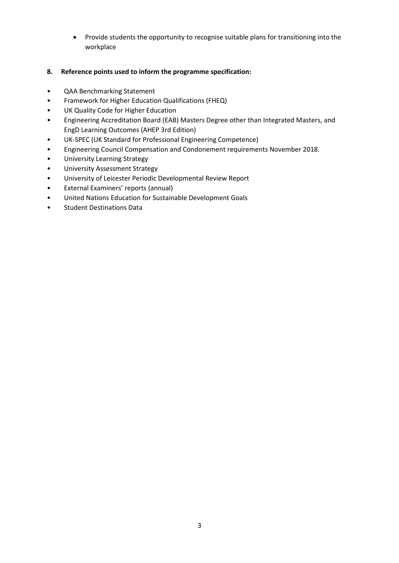- Provide students the opportunity to recognise suitable plans for transitioning into the workplace
- **8. Reference points used to inform the programme specification:**
- QAA Benchmarking Statement
- Framework for Higher Education Qualifications (FHEQ)
- UK Quality Code for Higher Education
- Engineering Accreditation Board (EAB) Masters Degree other than Integrated Masters, and EngD Learning Outcomes (AHEP 3rd Edition)
- UK-SPEC (UK Standard for Professional Engineering Competence)
- Engineering Council Compensation and Condonement requirements November 2018.
- University Learning Strategy
- University Assessment Strategy
- University of Leicester Periodic Developmental Review Report
- External Examiners' reports (annual)
- United Nations Education for Sustainable Development Goals
- Student Destinations Data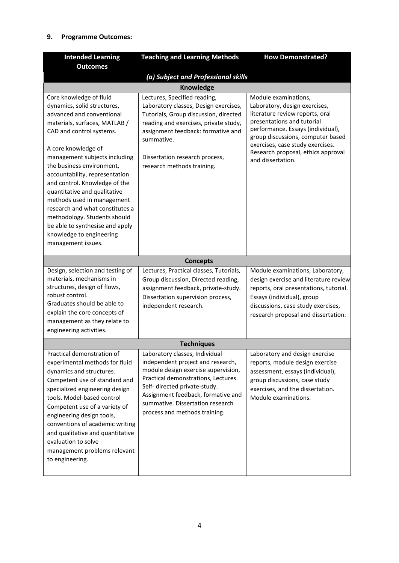### **9. Programme Outcomes:**

| <b>Intended Learning</b>                                                                                                                                                                                                                                                                                                                                                                                                                                                                                                       | <b>Teaching and Learning Methods</b>                                                                                                                                                                                                                                                          | <b>How Demonstrated?</b>                                                                                                                                                                                                                                                                        |  |  |  |  |
|--------------------------------------------------------------------------------------------------------------------------------------------------------------------------------------------------------------------------------------------------------------------------------------------------------------------------------------------------------------------------------------------------------------------------------------------------------------------------------------------------------------------------------|-----------------------------------------------------------------------------------------------------------------------------------------------------------------------------------------------------------------------------------------------------------------------------------------------|-------------------------------------------------------------------------------------------------------------------------------------------------------------------------------------------------------------------------------------------------------------------------------------------------|--|--|--|--|
| <b>Outcomes</b>                                                                                                                                                                                                                                                                                                                                                                                                                                                                                                                |                                                                                                                                                                                                                                                                                               |                                                                                                                                                                                                                                                                                                 |  |  |  |  |
| (a) Subject and Professional skills                                                                                                                                                                                                                                                                                                                                                                                                                                                                                            |                                                                                                                                                                                                                                                                                               |                                                                                                                                                                                                                                                                                                 |  |  |  |  |
| Knowledge                                                                                                                                                                                                                                                                                                                                                                                                                                                                                                                      |                                                                                                                                                                                                                                                                                               |                                                                                                                                                                                                                                                                                                 |  |  |  |  |
| Core knowledge of fluid<br>dynamics, solid structures,<br>advanced and conventional<br>materials, surfaces, MATLAB /<br>CAD and control systems.<br>A core knowledge of<br>management subjects including<br>the business environment,<br>accountability, representation<br>and control. Knowledge of the<br>quantitative and qualitative<br>methods used in management<br>research and what constitutes a<br>methodology. Students should<br>be able to synthesise and apply<br>knowledge to engineering<br>management issues. | Lectures, Specified reading,<br>Laboratory classes, Design exercises,<br>Tutorials, Group discussion, directed<br>reading and exercises, private study,<br>assignment feedback: formative and<br>summative.<br>Dissertation research process,<br>research methods training.                   | Module examinations,<br>Laboratory, design exercises,<br>literature review reports, oral<br>presentations and tutorial<br>performance. Essays (individual),<br>group discussions, computer based<br>exercises, case study exercises.<br>Research proposal, ethics approval<br>and dissertation. |  |  |  |  |
|                                                                                                                                                                                                                                                                                                                                                                                                                                                                                                                                | <b>Concepts</b>                                                                                                                                                                                                                                                                               |                                                                                                                                                                                                                                                                                                 |  |  |  |  |
| Design, selection and testing of<br>materials, mechanisms in<br>structures, design of flows,<br>robust control.<br>Graduates should be able to<br>explain the core concepts of<br>management as they relate to<br>engineering activities.                                                                                                                                                                                                                                                                                      | Lectures, Practical classes, Tutorials,<br>Group discussion, Directed reading,<br>assignment feedback, private-study.<br>Dissertation supervision process,<br>independent research.                                                                                                           | Module examinations, Laboratory,<br>design exercise and literature review<br>reports, oral presentations, tutorial.<br>Essays (individual), group<br>discussions, case study exercises,<br>research proposal and dissertation.                                                                  |  |  |  |  |
|                                                                                                                                                                                                                                                                                                                                                                                                                                                                                                                                | <b>Techniques</b>                                                                                                                                                                                                                                                                             |                                                                                                                                                                                                                                                                                                 |  |  |  |  |
| Practical demonstration of<br>experimental methods for fluid<br>dynamics and structures.<br>Competent use of standard and<br>specialized engineering design<br>tools. Model-based control<br>Competent use of a variety of<br>engineering design tools,<br>conventions of academic writing<br>and qualitative and quantitative<br>evaluation to solve<br>management problems relevant<br>to engineering.                                                                                                                       | Laboratory classes, Individual<br>independent project and research,<br>module design exercise supervision,<br>Practical demonstrations, Lectures.<br>Self- directed private-study.<br>Assignment feedback, formative and<br>summative. Dissertation research<br>process and methods training. | Laboratory and design exercise<br>reports, module design exercise<br>assessment, essays (individual),<br>group discussions, case study<br>exercises, and the dissertation.<br>Module examinations.                                                                                              |  |  |  |  |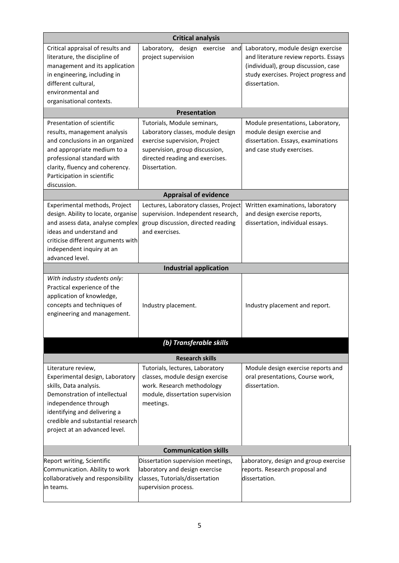| <b>Critical analysis</b>                                                                                                                                                                                                                       |                                                                                                                                                                                         |                                                                                                                                                                               |  |  |
|------------------------------------------------------------------------------------------------------------------------------------------------------------------------------------------------------------------------------------------------|-----------------------------------------------------------------------------------------------------------------------------------------------------------------------------------------|-------------------------------------------------------------------------------------------------------------------------------------------------------------------------------|--|--|
| Critical appraisal of results and<br>literature, the discipline of<br>management and its application<br>in engineering, including in<br>different cultural,<br>environmental and<br>organisational contexts.                                   | Laboratory, design<br>exercise<br>and<br>project supervision                                                                                                                            | Laboratory, module design exercise<br>and literature review reports. Essays<br>(individual), group discussion, case<br>study exercises. Project progress and<br>dissertation. |  |  |
|                                                                                                                                                                                                                                                | <b>Presentation</b>                                                                                                                                                                     |                                                                                                                                                                               |  |  |
| Presentation of scientific<br>results, management analysis<br>and conclusions in an organized<br>and appropriate medium to a<br>professional standard with<br>clarity, fluency and coherency.<br>Participation in scientific<br>discussion.    | Tutorials, Module seminars,<br>Laboratory classes, module design<br>exercise supervision, Project<br>supervision, group discussion,<br>directed reading and exercises.<br>Dissertation. | Module presentations, Laboratory,<br>module design exercise and<br>dissertation. Essays, examinations<br>and case study exercises.                                            |  |  |
|                                                                                                                                                                                                                                                | <b>Appraisal of evidence</b>                                                                                                                                                            |                                                                                                                                                                               |  |  |
| Experimental methods, Project<br>design. Ability to locate, organise<br>and assess data, analyse complex<br>ideas and understand and<br>criticise different arguments with<br>independent inquiry at an<br>advanced level.                     | Lectures, Laboratory classes, Project<br>supervision. Independent research,<br>group discussion, directed reading<br>and exercises.                                                     | Written examinations, laboratory<br>and design exercise reports,<br>dissertation, individual essays.                                                                          |  |  |
|                                                                                                                                                                                                                                                | <b>Industrial application</b>                                                                                                                                                           |                                                                                                                                                                               |  |  |
| With industry students only:<br>Practical experience of the<br>application of knowledge,<br>concepts and techniques of<br>engineering and management.                                                                                          | Industry placement.                                                                                                                                                                     | Industry placement and report.                                                                                                                                                |  |  |
|                                                                                                                                                                                                                                                | (b) Transferable skills                                                                                                                                                                 |                                                                                                                                                                               |  |  |
|                                                                                                                                                                                                                                                | <b>Research skills</b>                                                                                                                                                                  |                                                                                                                                                                               |  |  |
| Literature review,<br>Experimental design, Laboratory<br>skills, Data analysis.<br>Demonstration of intellectual<br>independence through<br>identifying and delivering a<br>credible and substantial research<br>project at an advanced level. | Tutorials, lectures, Laboratory<br>classes, module design exercise<br>work. Research methodology<br>module, dissertation supervision<br>meetings.                                       | Module design exercise reports and<br>oral presentations, Course work,<br>dissertation.                                                                                       |  |  |
|                                                                                                                                                                                                                                                | <b>Communication skills</b>                                                                                                                                                             |                                                                                                                                                                               |  |  |
| Report writing, Scientific<br>Communication. Ability to work<br>collaboratively and responsibility<br>in teams.                                                                                                                                | Dissertation supervision meetings,<br>laboratory and design exercise<br>classes, Tutorials/dissertation<br>supervision process.                                                         | Laboratory, design and group exercise<br>reports. Research proposal and<br>dissertation.                                                                                      |  |  |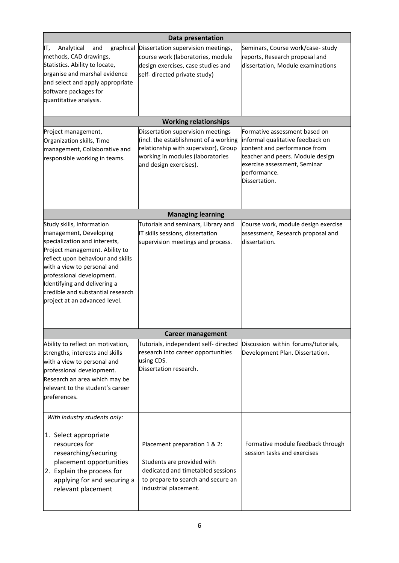| <b>Data presentation</b>                                                                                                                                                                                                                                                                                                      |                                                                                                                                                                                  |                                                                                                                                                                                                        |  |  |  |
|-------------------------------------------------------------------------------------------------------------------------------------------------------------------------------------------------------------------------------------------------------------------------------------------------------------------------------|----------------------------------------------------------------------------------------------------------------------------------------------------------------------------------|--------------------------------------------------------------------------------------------------------------------------------------------------------------------------------------------------------|--|--|--|
| graphical<br>IT,<br>Analytical<br>and<br>methods, CAD drawings,<br>Statistics. Ability to locate,<br>organise and marshal evidence<br>and select and apply appropriate<br>software packages for<br>quantitative analysis.                                                                                                     | Dissertation supervision meetings,<br>course work (laboratories, module<br>design exercises, case studies and<br>self- directed private study)                                   | Seminars, Course work/case- study<br>reports, Research proposal and<br>dissertation, Module examinations                                                                                               |  |  |  |
|                                                                                                                                                                                                                                                                                                                               | <b>Working relationships</b>                                                                                                                                                     |                                                                                                                                                                                                        |  |  |  |
| Project management,<br>Organization skills, Time<br>management, Collaborative and<br>responsible working in teams.                                                                                                                                                                                                            | Dissertation supervision meetings<br>(incl. the establishment of a working<br>relationship with supervisor), Group<br>working in modules (laboratories<br>and design exercises). | Formative assessment based on<br>informal qualitative feedback on<br>content and performance from<br>teacher and peers. Module design<br>exercise assessment, Seminar<br>performance.<br>Dissertation. |  |  |  |
|                                                                                                                                                                                                                                                                                                                               | <b>Managing learning</b>                                                                                                                                                         |                                                                                                                                                                                                        |  |  |  |
| Study skills, Information<br>management, Developing<br>specialization and interests,<br>Project management. Ability to<br>reflect upon behaviour and skills<br>with a view to personal and<br>professional development.<br>Identifying and delivering a<br>credible and substantial research<br>project at an advanced level. | Tutorials and seminars, Library and<br>IT skills sessions, dissertation<br>supervision meetings and process.                                                                     | Course work, module design exercise<br>assessment, Research proposal and<br>dissertation.                                                                                                              |  |  |  |
|                                                                                                                                                                                                                                                                                                                               | <b>Career management</b>                                                                                                                                                         |                                                                                                                                                                                                        |  |  |  |
| Ability to reflect on motivation,<br>strengths, interests and skills<br>with a view to personal and<br>professional development.<br>Research an area which may be<br>relevant to the student's career<br>preferences.                                                                                                         | Tutorials, independent self- directed<br>research into career opportunities<br>using CDS.<br>Dissertation research.                                                              | Discussion within forums/tutorials,<br>Development Plan. Dissertation.                                                                                                                                 |  |  |  |
| With industry students only:<br>1. Select appropriate<br>resources for<br>researching/securing<br>placement opportunities<br>2. Explain the process for<br>applying for and securing a<br>relevant placement                                                                                                                  | Placement preparation 1 & 2:<br>Students are provided with<br>dedicated and timetabled sessions<br>to prepare to search and secure an<br>industrial placement.                   | Formative module feedback through<br>session tasks and exercises                                                                                                                                       |  |  |  |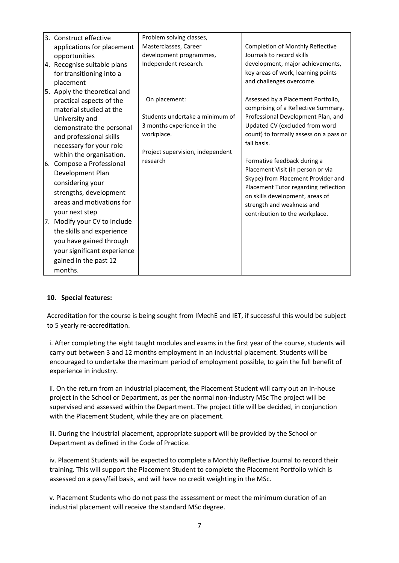|     | 3. Construct effective       | Problem solving classes,                     |                                                                  |
|-----|------------------------------|----------------------------------------------|------------------------------------------------------------------|
|     | applications for placement   | Masterclasses, Career                        | <b>Completion of Monthly Reflective</b>                          |
|     | opportunities                | development programmes,                      | Journals to record skills                                        |
|     | 4. Recognise suitable plans  | Independent research.                        | development, major achievements,                                 |
|     | for transitioning into a     |                                              | key areas of work, learning points                               |
|     | placement                    |                                              | and challenges overcome.                                         |
|     | 5. Apply the theoretical and |                                              |                                                                  |
|     | practical aspects of the     | On placement:                                | Assessed by a Placement Portfolio,                               |
|     | material studied at the      |                                              | comprising of a Reflective Summary,                              |
|     | University and               | Students undertake a minimum of              | Professional Development Plan, and                               |
|     | demonstrate the personal     | 3 months experience in the                   | Updated CV (excluded from word                                   |
|     | and professional skills      | workplace.                                   | count) to formally assess on a pass or                           |
|     | necessary for your role      |                                              | fail basis.                                                      |
|     | within the organisation.     | Project supervision, independent<br>research |                                                                  |
| l6. | Compose a Professional       |                                              | Formative feedback during a<br>Placement Visit (in person or via |
|     | Development Plan             |                                              | Skype) from Placement Provider and                               |
|     | considering your             |                                              | Placement Tutor regarding reflection                             |
|     | strengths, development       |                                              | on skills development, areas of                                  |
|     | areas and motivations for    |                                              | strength and weakness and                                        |
|     | your next step               |                                              | contribution to the workplace.                                   |
|     | 7. Modify your CV to include |                                              |                                                                  |
|     | the skills and experience    |                                              |                                                                  |
|     | you have gained through      |                                              |                                                                  |
|     | your significant experience  |                                              |                                                                  |
|     | gained in the past 12        |                                              |                                                                  |
|     | months.                      |                                              |                                                                  |

## **10. Special features:**

Accreditation for the course is being sought from IMechE and IET, if successful this would be subject to 5 yearly re-accreditation.

i. After completing the eight taught modules and exams in the first year of the course, students will carry out between 3 and 12 months employment in an industrial placement. Students will be encouraged to undertake the maximum period of employment possible, to gain the full benefit of experience in industry.

ii. On the return from an industrial placement, the Placement Student will carry out an in-house project in the School or Department, as per the normal non-Industry MSc The project will be supervised and assessed within the Department. The project title will be decided, in conjunction with the Placement Student, while they are on placement.

iii. During the industrial placement, appropriate support will be provided by the School or Department as defined in the Code of Practice.

iv. Placement Students will be expected to complete a Monthly Reflective Journal to record their training. This will support the Placement Student to complete the Placement Portfolio which is assessed on a pass/fail basis, and will have no credit weighting in the MSc.

v. Placement Students who do not pass the assessment or meet the minimum duration of an industrial placement will receive the standard MSc degree.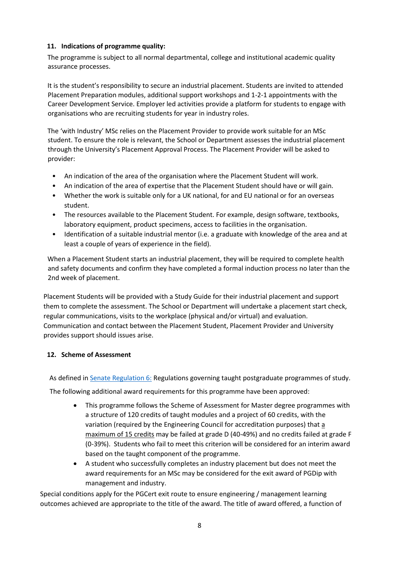## **11. Indications of programme quality:**

The programme is subject to all normal departmental, college and institutional academic quality assurance processes.

It is the student's responsibility to secure an industrial placement. Students are invited to attended Placement Preparation modules, additional support workshops and 1-2-1 appointments with the Career Development Service. Employer led activities provide a platform for students to engage with organisations who are recruiting students for year in industry roles.

The 'with Industry' MSc relies on the Placement Provider to provide work suitable for an MSc student. To ensure the role is relevant, the School or Department assesses the industrial placement through the University's Placement Approval Process. The Placement Provider will be asked to provider:

- An indication of the area of the organisation where the Placement Student will work.
- An indication of the area of expertise that the Placement Student should have or will gain.
- Whether the work is suitable only for a UK national, for and EU national or for an overseas student.
- The resources available to the Placement Student. For example, design software, textbooks, laboratory equipment, product specimens, access to facilities in the organisation.
- Identification of a suitable industrial mentor (i.e. a graduate with knowledge of the area and at least a couple of years of experience in the field).

When a Placement Student starts an industrial placement, they will be required to complete health and safety documents and confirm they have completed a formal induction process no later than the 2nd week of placement.

Placement Students will be provided with a Study Guide for their industrial placement and support them to complete the assessment. The School or Department will undertake a placement start check, regular communications, visits to the workplace (physical and/or virtual) and evaluation. Communication and contact between the Placement Student, Placement Provider and University provides support should issues arise.

## **12. Scheme of Assessment**

As defined i[n Senate Regulation 6:](http://www.le.ac.uk/senate-regulation6) Regulations governing taught postgraduate programmes of study.

The following additional award requirements for this programme have been approved:

- This programme follows the Scheme of Assessment for Master degree programmes with a structure of 120 credits of taught modules and a project of 60 credits, with the variation (required by the Engineering Council for accreditation purposes) that a maximum of 15 credits may be failed at grade D (40-49%) and no credits failed at grade F (0-39%). Students who fail to meet this criterion will be considered for an interim award based on the taught component of the programme.
- A student who successfully completes an industry placement but does not meet the award requirements for an MSc may be considered for the exit award of PGDip with management and industry.

Special conditions apply for the PGCert exit route to ensure engineering / management learning outcomes achieved are appropriate to the title of the award. The title of award offered, a function of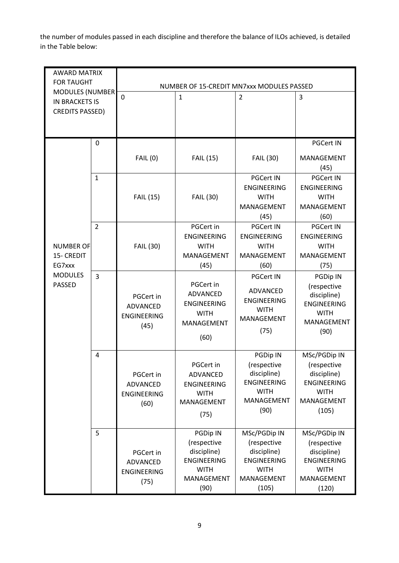the number of modules passed in each discipline and therefore the balance of ILOs achieved, is detailed in the Table below:

| <b>AWARD MATRIX</b><br><b>FOR TAUGHT</b>                                  |                | NUMBER OF 15-CREDIT MN7xxx MODULES PASSED           |                                                                                                          |                                                                                                          |                                                                                                          |
|---------------------------------------------------------------------------|----------------|-----------------------------------------------------|----------------------------------------------------------------------------------------------------------|----------------------------------------------------------------------------------------------------------|----------------------------------------------------------------------------------------------------------|
| <b>MODULES (NUMBER</b><br><b>IN BRACKETS IS</b><br><b>CREDITS PASSED)</b> |                | 0                                                   | $\mathbf{1}$                                                                                             | $\overline{2}$                                                                                           | 3                                                                                                        |
|                                                                           | $\mathbf 0$    |                                                     |                                                                                                          |                                                                                                          | <b>PGCert IN</b>                                                                                         |
|                                                                           |                | <b>FAIL (0)</b>                                     | <b>FAIL (15)</b>                                                                                         | <b>FAIL (30)</b>                                                                                         | MANAGEMENT<br>(45)                                                                                       |
|                                                                           | $\mathbf{1}$   | <b>FAIL (15)</b>                                    | <b>FAIL (30)</b>                                                                                         | <b>PGCert IN</b><br><b>ENGINEERING</b><br><b>WITH</b><br><b>MANAGEMENT</b><br>(45)                       | <b>PGCert IN</b><br><b>ENGINEERING</b><br><b>WITH</b><br>MANAGEMENT<br>(60)                              |
| <b>NUMBER OF</b><br>15- CREDIT<br>EG7xxx                                  | $\overline{2}$ | <b>FAIL (30)</b>                                    | PGCert in<br><b>ENGINEERING</b><br><b>WITH</b><br><b>MANAGEMENT</b><br>(45)                              | <b>PGCert IN</b><br><b>ENGINEERING</b><br><b>WITH</b><br>MANAGEMENT<br>(60)                              | <b>PGCert IN</b><br><b>ENGINEERING</b><br><b>WITH</b><br>MANAGEMENT<br>(75)                              |
| <b>MODULES</b><br><b>PASSED</b>                                           | $\overline{3}$ | PGCert in<br>ADVANCED<br><b>ENGINEERING</b><br>(45) | PGCert in<br>ADVANCED<br><b>ENGINEERING</b><br><b>WITH</b><br>MANAGEMENT<br>(60)                         | <b>PGCert IN</b><br><b>ADVANCED</b><br><b>ENGINEERING</b><br><b>WITH</b><br>MANAGEMENT<br>(75)           | <b>PGDip IN</b><br>(respective<br>discipline)<br><b>ENGINEERING</b><br><b>WITH</b><br>MANAGEMENT<br>(90) |
|                                                                           | 4              | PGCert in<br>ADVANCED<br><b>ENGINEERING</b><br>(60) | PGCert in<br><b>ADVANCED</b><br><b>ENGINEERING</b><br><b>WITH</b><br>MANAGEMENT<br>(75)                  | <b>PGDip IN</b><br>(respective<br>discipline)<br><b>ENGINEERING</b><br><b>WITH</b><br>MANAGEMENT<br>(90) | MSc/PGDip IN<br>(respective<br>discipline)<br><b>ENGINEERING</b><br><b>WITH</b><br>MANAGEMENT<br>(105)   |
|                                                                           | 5              | PGCert in<br>ADVANCED<br><b>ENGINEERING</b><br>(75) | <b>PGDip IN</b><br>(respective<br>discipline)<br><b>ENGINEERING</b><br><b>WITH</b><br>MANAGEMENT<br>(90) | MSc/PGDip IN<br>(respective<br>discipline)<br><b>ENGINEERING</b><br><b>WITH</b><br>MANAGEMENT<br>(105)   | MSc/PGDip IN<br>(respective<br>discipline)<br><b>ENGINEERING</b><br><b>WITH</b><br>MANAGEMENT<br>(120)   |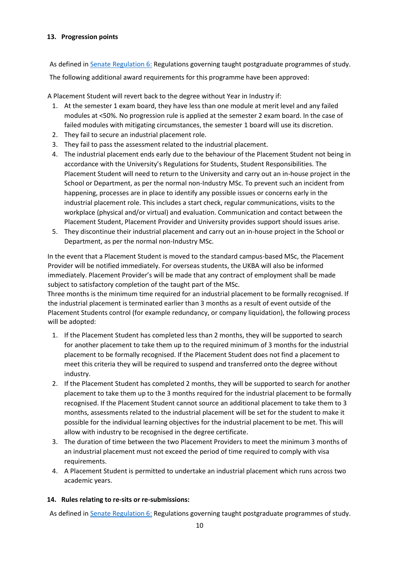## **13. Progression points**

As defined in [Senate Regulation 6:](http://www.le.ac.uk/senate-regulation6) Regulations governing taught postgraduate programmes of study. The following additional award requirements for this programme have been approved:

A Placement Student will revert back to the degree without Year in Industry if:

- 1. At the semester 1 exam board, they have less than one module at merit level and any failed modules at <50%. No progression rule is applied at the semester 2 exam board. In the case of failed modules with mitigating circumstances, the semester 1 board will use its discretion.
- 2. They fail to secure an industrial placement role.
- 3. They fail to pass the assessment related to the industrial placement.
- 4. The industrial placement ends early due to the behaviour of the Placement Student not being in accordance with the University's Regulations for Students, Student Responsibilities. The Placement Student will need to return to the University and carry out an in-house project in the School or Department, as per the normal non-Industry MSc. To prevent such an incident from happening, processes are in place to identify any possible issues or concerns early in the industrial placement role. This includes a start check, regular communications, visits to the workplace (physical and/or virtual) and evaluation. Communication and contact between the Placement Student, Placement Provider and University provides support should issues arise.
- 5. They discontinue their industrial placement and carry out an in-house project in the School or Department, as per the normal non-Industry MSc.

In the event that a Placement Student is moved to the standard campus-based MSc, the Placement Provider will be notified immediately. For overseas students, the UKBA will also be informed immediately. Placement Provider's will be made that any contract of employment shall be made subject to satisfactory completion of the taught part of the MSc.

Three months is the minimum time required for an industrial placement to be formally recognised. If the industrial placement is terminated earlier than 3 months as a result of event outside of the Placement Students control (for example redundancy, or company liquidation), the following process will be adopted:

- 1. If the Placement Student has completed less than 2 months, they will be supported to search for another placement to take them up to the required minimum of 3 months for the industrial placement to be formally recognised. If the Placement Student does not find a placement to meet this criteria they will be required to suspend and transferred onto the degree without industry.
- 2. If the Placement Student has completed 2 months, they will be supported to search for another placement to take them up to the 3 months required for the industrial placement to be formally recognised. If the Placement Student cannot source an additional placement to take them to 3 months, assessments related to the industrial placement will be set for the student to make it possible for the individual learning objectives for the industrial placement to be met. This will allow with industry to be recognised in the degree certificate.
- 3. The duration of time between the two Placement Providers to meet the minimum 3 months of an industrial placement must not exceed the period of time required to comply with visa requirements.
- 4. A Placement Student is permitted to undertake an industrial placement which runs across two academic years.

## **14. Rules relating to re-sits or re-submissions:**

As defined in [Senate Regulation 6:](http://www.le.ac.uk/senate-regulation6) Regulations governing taught postgraduate programmes of study.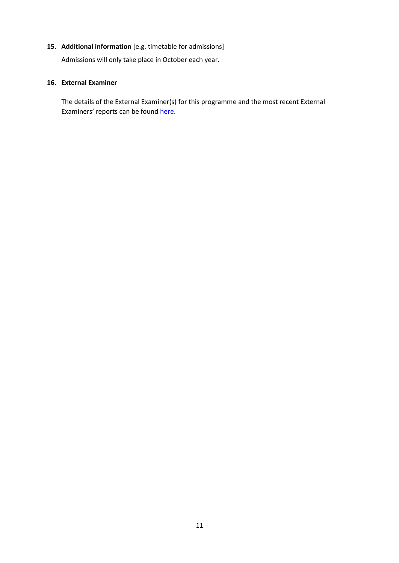## **15. Additional information** [e.g. timetable for admissions]

Admissions will only take place in October each year.

#### **16. External Examiner**

The details of the External Examiner(s) for this programme and the most recent External Examiners' reports can be found [here.](https://exampapers.le.ac.uk/xmlui/handle/123456789/214)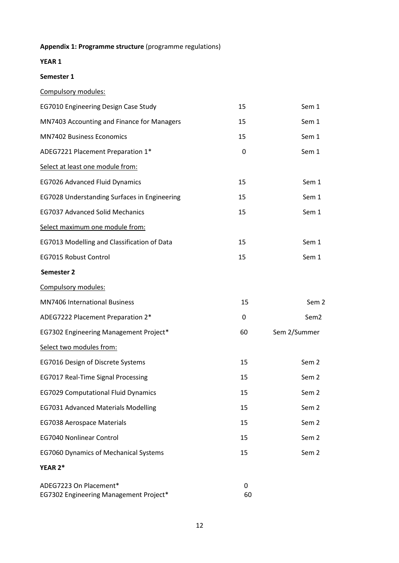# **Appendix 1: Programme structure** (programme regulations)

## **YEAR 1**

#### **Semester 1**

Compulsory modules:

| EG7010 Engineering Design Case Study         | 15 | Sem 1 |
|----------------------------------------------|----|-------|
| MN7403 Accounting and Finance for Managers   | 15 | Sem 1 |
| <b>MN7402 Business Economics</b>             | 15 | Sem 1 |
| ADEG7221 Placement Preparation 1*            | 0  | Sem 1 |
| Select at least one module from:             |    |       |
| EG7026 Advanced Fluid Dynamics               | 15 | Sem 1 |
| EG7028 Understanding Surfaces in Engineering | 15 | Sem 1 |
| <b>EG7037 Advanced Solid Mechanics</b>       | 15 | Sem 1 |
| Select maximum one module from:              |    |       |
| EG7013 Modelling and Classification of Data  | 15 | Sem 1 |
| <b>EG7015 Robust Control</b>                 | 15 | Sem 1 |

## **Semester 2**

| Compulsory modules:                          |    |                  |
|----------------------------------------------|----|------------------|
| <b>MN7406 International Business</b>         | 15 | Sem <sub>2</sub> |
| ADEG7222 Placement Preparation 2*            | 0  | Sem <sub>2</sub> |
| EG7302 Engineering Management Project*       | 60 | Sem 2/Summer     |
| Select two modules from:                     |    |                  |
| EG7016 Design of Discrete Systems            | 15 | Sem <sub>2</sub> |
| EG7017 Real-Time Signal Processing           | 15 | Sem <sub>2</sub> |
| <b>EG7029 Computational Fluid Dynamics</b>   | 15 | Sem <sub>2</sub> |
| <b>EG7031 Advanced Materials Modelling</b>   | 15 | Sem <sub>2</sub> |
| <b>EG7038 Aerospace Materials</b>            | 15 | Sem <sub>2</sub> |
| <b>EG7040 Nonlinear Control</b>              | 15 | Sem <sub>2</sub> |
| <b>EG7060 Dynamics of Mechanical Systems</b> | 15 | Sem <sub>2</sub> |
| YEAR 2*                                      |    |                  |

| ADEG7223 On Placement*                 |    |
|----------------------------------------|----|
| EG7302 Engineering Management Project* | 60 |